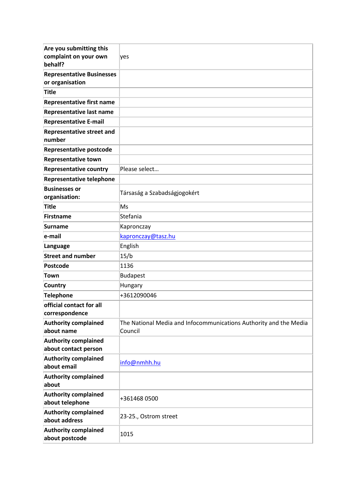| Are you submitting this<br>complaint on your own<br>behalf? | yes                                                                          |
|-------------------------------------------------------------|------------------------------------------------------------------------------|
| <b>Representative Businesses</b><br>or organisation         |                                                                              |
| <b>Title</b>                                                |                                                                              |
| <b>Representative first name</b>                            |                                                                              |
| <b>Representative last name</b>                             |                                                                              |
| <b>Representative E-mail</b>                                |                                                                              |
| <b>Representative street and</b><br>number                  |                                                                              |
| <b>Representative postcode</b>                              |                                                                              |
| <b>Representative town</b>                                  |                                                                              |
| <b>Representative country</b>                               | Please select                                                                |
| <b>Representative telephone</b>                             |                                                                              |
| <b>Businesses or</b><br>organisation:                       | Társaság a Szabadságjogokért                                                 |
| <b>Title</b>                                                | Ms                                                                           |
| Firstname                                                   | Stefania                                                                     |
| <b>Surname</b>                                              | Kapronczay                                                                   |
| e-mail                                                      | kapronczay@tasz.hu                                                           |
| Language                                                    | English                                                                      |
| <b>Street and number</b>                                    | 15/b                                                                         |
| Postcode                                                    | 1136                                                                         |
| <b>Town</b>                                                 | Budapest                                                                     |
| <b>Country</b>                                              | <b>Hungary</b>                                                               |
| <b>Telephone</b>                                            | +3612090046                                                                  |
| official contact for all<br>correspondence                  |                                                                              |
| <b>Authority complained</b><br>about name                   | The National Media and Infocommunications Authority and the Media<br>Council |
| <b>Authority complained</b><br>about contact person         |                                                                              |
| <b>Authority complained</b><br>about email                  | info@nmhh.hu                                                                 |
| <b>Authority complained</b><br>about                        |                                                                              |
| <b>Authority complained</b><br>about telephone              | +361468 0500                                                                 |
| <b>Authority complained</b><br>about address                | 23-25., Ostrom street                                                        |
| <b>Authority complained</b><br>about postcode               | 1015                                                                         |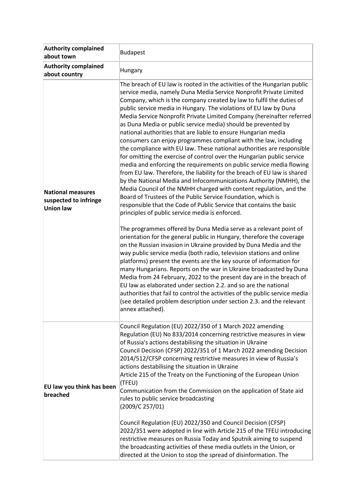| <b>Authority complained</b><br>about town                             | <b>Budapest</b>                                                                                                                                                                                                                                                                                                                                                                                                                                                                                                                                                                                                                                                                                                                                                                                                                                                                                                                                                                                                                                                                                                                                                                                                                                                                                                                                                                                                                                                                                                                                                                                                                                                                                                                                                                                                                                                                                                                                                                          |
|-----------------------------------------------------------------------|------------------------------------------------------------------------------------------------------------------------------------------------------------------------------------------------------------------------------------------------------------------------------------------------------------------------------------------------------------------------------------------------------------------------------------------------------------------------------------------------------------------------------------------------------------------------------------------------------------------------------------------------------------------------------------------------------------------------------------------------------------------------------------------------------------------------------------------------------------------------------------------------------------------------------------------------------------------------------------------------------------------------------------------------------------------------------------------------------------------------------------------------------------------------------------------------------------------------------------------------------------------------------------------------------------------------------------------------------------------------------------------------------------------------------------------------------------------------------------------------------------------------------------------------------------------------------------------------------------------------------------------------------------------------------------------------------------------------------------------------------------------------------------------------------------------------------------------------------------------------------------------------------------------------------------------------------------------------------------------|
| <b>Authority complained</b><br>about country                          | Hungary                                                                                                                                                                                                                                                                                                                                                                                                                                                                                                                                                                                                                                                                                                                                                                                                                                                                                                                                                                                                                                                                                                                                                                                                                                                                                                                                                                                                                                                                                                                                                                                                                                                                                                                                                                                                                                                                                                                                                                                  |
| <b>National measures</b><br>suspected to infringe<br><b>Union law</b> | The breach of EU law is rooted in the activities of the Hungarian public<br>service media, namely Duna Media Service Nonprofit Private Limited<br>Company, which is the company created by law to fulfil the duties of<br>public service media in Hungary. The violations of EU law by Duna<br>Media Service Nonprofit Private Limited Company (hereinafter referred<br>as Duna Media or public service media) should be prevented by<br>national authorities that are liable to ensure Hungarian media<br>consumers can enjoy programmes compliant with the law, including<br>the compliance with EU law. These national authorities are responsible<br>for omitting the exercise of control over the Hungarian public service<br>media and enforcing the requirements on public service media flowing<br>from EU law. Therefore, the liability for the breach of EU law is shared<br>by the National Media and Infocommunications Authority (NMHH), the<br>Media Council of the NMHH charged with content regulation, and the<br>Board of Trustees of the Public Service Foundation, which is<br>responsible that the Code of Public Service that contains the basic<br>principles of public service media is enforced.<br>The programmes offered by Duna Media serve as a relevant point of<br>orientation for the general public in Hungary, therefore the coverage<br>on the Russian invasion in Ukraine provided by Duna Media and the<br>way public service media (both radio, television stations and online<br>platforms) present the events are the key source of information for<br>many Hungarians. Reports on the war in Ukraine broadcasted by Duna<br>Media from 24 February, 2022 to the present day are in the breach of<br>EU law as elaborated under section 2.2. and so are the national<br>authorities that fail to control the activities of the public service media<br>(see detailed problem description under section 2.3. and the relevant<br>annex attached). |
| EU law you think has been<br>breached                                 | Council Regulation (EU) 2022/350 of 1 March 2022 amending<br>Regulation (EU) No 833/2014 concerning restrictive measures in view<br>of Russia's actions destabilising the situation in Ukraine<br>Council Decision (CFSP) 2022/351 of 1 March 2022 amending Decision<br>2014/512/CFSP concerning restrictive measures in view of Russia's<br>actions destabilising the situation in Ukraine<br>Article 215 of the Treaty on the Functioning of the European Union<br>(TFEU)<br>Communication from the Commission on the application of State aid<br>rules to public service broadcasting<br>(2009/C 257/01)<br>Council Regulation (EU) 2022/350 and Council Decision (CFSP)<br>2022/351 were adopted in line with Article 215 of the TFEU introducing<br>restrictive measures on Russia Today and Sputnik aiming to suspend<br>the broadcasting activities of these media outlets in the Union, or<br>directed at the Union to stop the spread of disinformation. The                                                                                                                                                                                                                                                                                                                                                                                                                                                                                                                                                                                                                                                                                                                                                                                                                                                                                                                                                                                                                    |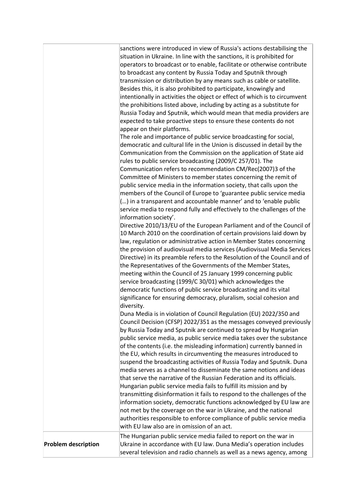|                            | sanctions were introduced in view of Russia's actions destabilising the<br>situation in Ukraine. In line with the sanctions, it is prohibited for<br>operators to broadcast or to enable, facilitate or otherwise contribute<br>to broadcast any content by Russia Today and Sputnik through<br>transmission or distribution by any means such as cable or satellite.<br>Besides this, it is also prohibited to participate, knowingly and<br>intentionally in activities the object or effect of which is to circumvent<br>the prohibitions listed above, including by acting as a substitute for<br>Russia Today and Sputnik, which would mean that media providers are<br>expected to take proactive steps to ensure these contents do not<br>appear on their platforms.<br>The role and importance of public service broadcasting for social,<br>democratic and cultural life in the Union is discussed in detail by the<br>Communication from the Commission on the application of State aid<br>rules to public service broadcasting (2009/C 257/01). The<br>Communication refers to recommendation CM/Rec(2007)3 of the<br>Committee of Ministers to member states concerning the remit of<br>public service media in the information society, that calls upon the<br>members of the Council of Europe to 'guarantee public service media<br>() in a transparent and accountable manner' and to 'enable public<br>service media to respond fully and effectively to the challenges of the<br>information society'.<br>Directive 2010/13/EU of the European Parliament and of the Council of<br>10 March 2010 on the coordination of certain provisions laid down by<br>law, regulation or administrative action in Member States concerning<br>the provision of audiovisual media services (Audiovisual Media Services<br>Directive) in its preamble refers to the Resolution of the Council and of<br>the Representatives of the Governments of the Member States,<br>meeting within the Council of 25 January 1999 concerning public<br>service broadcasting (1999/C 30/01) which acknowledges the<br>democratic functions of public service broadcasting and its vital<br>significance for ensuring democracy, pluralism, social cohesion and<br>diversity.<br>Duna Media is in violation of Council Regulation (EU) 2022/350 and<br>Council Decision (CFSP) 2022/351 as the messages conveyed previously<br>by Russia Today and Sputnik are continued to spread by Hungarian<br>public service media, as public service media takes over the substance<br>of the contents (i.e. the misleading information) currently banned in<br>the EU, which results in circumventing the measures introduced to<br>suspend the broadcasting activities of Russia Today and Sputnik. Duna<br>media serves as a channel to disseminate the same notions and ideas<br>that serve the narrative of the Russian Federation and its officials.<br>Hungarian public service media fails to fulfill its mission and by<br>transmitting disinformation it fails to respond to the challenges of the<br>information society, democratic functions acknowledged by EU law are<br>not met by the coverage on the war in Ukraine, and the national<br>authorities responsible to enforce compliance of public service media |
|----------------------------|---------------------------------------------------------------------------------------------------------------------------------------------------------------------------------------------------------------------------------------------------------------------------------------------------------------------------------------------------------------------------------------------------------------------------------------------------------------------------------------------------------------------------------------------------------------------------------------------------------------------------------------------------------------------------------------------------------------------------------------------------------------------------------------------------------------------------------------------------------------------------------------------------------------------------------------------------------------------------------------------------------------------------------------------------------------------------------------------------------------------------------------------------------------------------------------------------------------------------------------------------------------------------------------------------------------------------------------------------------------------------------------------------------------------------------------------------------------------------------------------------------------------------------------------------------------------------------------------------------------------------------------------------------------------------------------------------------------------------------------------------------------------------------------------------------------------------------------------------------------------------------------------------------------------------------------------------------------------------------------------------------------------------------------------------------------------------------------------------------------------------------------------------------------------------------------------------------------------------------------------------------------------------------------------------------------------------------------------------------------------------------------------------------------------------------------------------------------------------------------------------------------------------------------------------------------------------------------------------------------------------------------------------------------------------------------------------------------------------------------------------------------------------------------------------------------------------------------------------------------------------------------------------------------------------------------------------------------------------------------------------------------------------------------------------------------------------------------------------------------------------------------------------------------------------------------------------------------------------------------------------------------------------------------------------------------|
| <b>Problem description</b> | with EU law also are in omission of an act.<br>The Hungarian public service media failed to report on the war in<br>Ukraine in accordance with EU law. Duna Media's operation includes<br>several television and radio channels as well as a news agency, among                                                                                                                                                                                                                                                                                                                                                                                                                                                                                                                                                                                                                                                                                                                                                                                                                                                                                                                                                                                                                                                                                                                                                                                                                                                                                                                                                                                                                                                                                                                                                                                                                                                                                                                                                                                                                                                                                                                                                                                                                                                                                                                                                                                                                                                                                                                                                                                                                                                                                                                                                                                                                                                                                                                                                                                                                                                                                                                                                                                                                                               |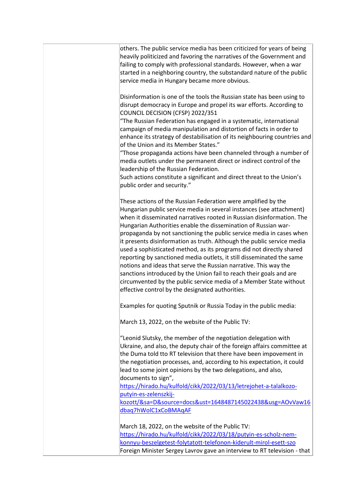| others. The public service media has been criticized for years of being<br>heavily politicized and favoring the narratives of the Government and<br>failing to comply with professional standards. However, when a war<br>started in a neighboring country, the substandard nature of the public<br>service media in Hungary became more obvious.                                                                                                                                                                                                                                                                                                                                                                                                                                                                                                        |
|----------------------------------------------------------------------------------------------------------------------------------------------------------------------------------------------------------------------------------------------------------------------------------------------------------------------------------------------------------------------------------------------------------------------------------------------------------------------------------------------------------------------------------------------------------------------------------------------------------------------------------------------------------------------------------------------------------------------------------------------------------------------------------------------------------------------------------------------------------|
| Disinformation is one of the tools the Russian state has been using to<br>disrupt democracy in Europe and propel its war efforts. According to<br>COUNCIL DECISION (CFSP) 2022/351<br>"The Russian Federation has engaged in a systematic, international<br>campaign of media manipulation and distortion of facts in order to                                                                                                                                                                                                                                                                                                                                                                                                                                                                                                                           |
| enhance its strategy of destabilisation of its neighbouring countries and<br>of the Union and its Member States."<br>"Those propaganda actions have been channeled through a number of<br>media outlets under the permanent direct or indirect control of the<br>leadership of the Russian Federation.<br>Such actions constitute a significant and direct threat to the Union's                                                                                                                                                                                                                                                                                                                                                                                                                                                                         |
| public order and security."                                                                                                                                                                                                                                                                                                                                                                                                                                                                                                                                                                                                                                                                                                                                                                                                                              |
| These actions of the Russian Federation were amplified by the<br>Hungarian public service media in several instances (see attachment)<br>when it disseminated narratives rooted in Russian disinformation. The<br>Hungarian Authorities enable the dissemination of Russian war-<br>propaganda by not sanctioning the public service media in cases when<br>it presents disinformation as truth. Although the public service media<br>used a sophisticated method, as its programs did not directly shared<br>reporting by sanctioned media outlets, it still disseminated the same<br>notions and ideas that serve the Russian narrative. This way the<br>sanctions introduced by the Union fail to reach their goals and are<br>circumvented by the public service media of a Member State without<br>effective control by the designated authorities. |
| Examples for quoting Sputnik or Russia Today in the public media:                                                                                                                                                                                                                                                                                                                                                                                                                                                                                                                                                                                                                                                                                                                                                                                        |
| March 13, 2022, on the website of the Public TV:                                                                                                                                                                                                                                                                                                                                                                                                                                                                                                                                                                                                                                                                                                                                                                                                         |
| "Leonid Slutsky, the member of the negotiation delegation with<br>Ukraine, and also, the deputy chair of the foreign affairs committee at<br>the Duma told tto RT television that there have been impovement in<br>the negotiation processes, and, according to his expectation, it could<br>lead to some joint opinions by the two delegations, and also,                                                                                                                                                                                                                                                                                                                                                                                                                                                                                               |
| documents to sign",<br>https://hirado.hu/kulfold/cikk/2022/03/13/letrejohet-a-talalkozo-<br>putyin-es-zelenszkij-<br>kozott/&sa=D&source=docs&ust=1648487145022438&usg=AOvVaw16                                                                                                                                                                                                                                                                                                                                                                                                                                                                                                                                                                                                                                                                          |
| dbaq7hWolC1xCoBMAqAF                                                                                                                                                                                                                                                                                                                                                                                                                                                                                                                                                                                                                                                                                                                                                                                                                                     |
| March 18, 2022, on the website of the Public TV:<br>https://hirado.hu/kulfold/cikk/2022/03/18/putyin-es-scholz-nem-<br>konnyu-beszelgetest-folytatott-telefonon-kiderult-mirol-esett-szo<br>Foreign Minister Sergey Lavrov gave an interview to RT television - that                                                                                                                                                                                                                                                                                                                                                                                                                                                                                                                                                                                     |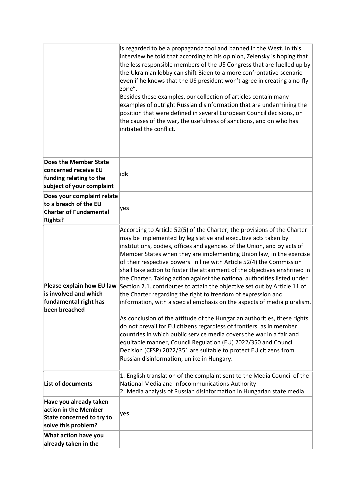|                                                      | is regarded to be a propaganda tool and banned in the West. In this<br>interview he told that according to his opinion, Zelensky is hoping that<br>the less responsible members of the US Congress that are fuelled up by<br>the Ukrainian lobby can shift Biden to a more confrontative scenario -<br>even if he knows that the US president won't agree in creating a no-fly<br>zone".<br>Besides these examples, our collection of articles contain many<br>examples of outright Russian disinformation that are undermining the<br>position that were defined in several European Council decisions, on<br>the causes of the war, the usefulness of sanctions, and on who has<br>initiated the conflict. |
|------------------------------------------------------|--------------------------------------------------------------------------------------------------------------------------------------------------------------------------------------------------------------------------------------------------------------------------------------------------------------------------------------------------------------------------------------------------------------------------------------------------------------------------------------------------------------------------------------------------------------------------------------------------------------------------------------------------------------------------------------------------------------|
| <b>Does the Member State</b>                         |                                                                                                                                                                                                                                                                                                                                                                                                                                                                                                                                                                                                                                                                                                              |
| concerned receive EU                                 | idk                                                                                                                                                                                                                                                                                                                                                                                                                                                                                                                                                                                                                                                                                                          |
| funding relating to the<br>subject of your complaint |                                                                                                                                                                                                                                                                                                                                                                                                                                                                                                                                                                                                                                                                                                              |
| Does your complaint relate                           |                                                                                                                                                                                                                                                                                                                                                                                                                                                                                                                                                                                                                                                                                                              |
| to a breach of the EU                                |                                                                                                                                                                                                                                                                                                                                                                                                                                                                                                                                                                                                                                                                                                              |
| <b>Charter of Fundamental</b>                        | yes                                                                                                                                                                                                                                                                                                                                                                                                                                                                                                                                                                                                                                                                                                          |
| <b>Rights?</b>                                       |                                                                                                                                                                                                                                                                                                                                                                                                                                                                                                                                                                                                                                                                                                              |
|                                                      | According to Article 52(5) of the Charter, the provisions of the Charter                                                                                                                                                                                                                                                                                                                                                                                                                                                                                                                                                                                                                                     |
|                                                      | may be implemented by legislative and executive acts taken by                                                                                                                                                                                                                                                                                                                                                                                                                                                                                                                                                                                                                                                |
|                                                      | institutions, bodies, offices and agencies of the Union, and by acts of<br>Member States when they are implementing Union law, in the exercise                                                                                                                                                                                                                                                                                                                                                                                                                                                                                                                                                               |
|                                                      | of their respective powers. In line with Article 52(4) the Commission                                                                                                                                                                                                                                                                                                                                                                                                                                                                                                                                                                                                                                        |
|                                                      | shall take action to foster the attainment of the objectives enshrined in                                                                                                                                                                                                                                                                                                                                                                                                                                                                                                                                                                                                                                    |
|                                                      | the Charter. Taking action against the national authorities listed under                                                                                                                                                                                                                                                                                                                                                                                                                                                                                                                                                                                                                                     |
| Please explain how EU law                            | Section 2.1. contributes to attain the objective set out by Article 11 of                                                                                                                                                                                                                                                                                                                                                                                                                                                                                                                                                                                                                                    |
| is involved and which                                | the Charter regarding the right to freedom of expression and                                                                                                                                                                                                                                                                                                                                                                                                                                                                                                                                                                                                                                                 |
| fundamental right has<br>been breached               | information, with a special emphasis on the aspects of media pluralism.                                                                                                                                                                                                                                                                                                                                                                                                                                                                                                                                                                                                                                      |
|                                                      | As conclusion of the attitude of the Hungarian authorities, these rights                                                                                                                                                                                                                                                                                                                                                                                                                                                                                                                                                                                                                                     |
|                                                      | do not prevail for EU citizens regardless of frontiers, as in member                                                                                                                                                                                                                                                                                                                                                                                                                                                                                                                                                                                                                                         |
|                                                      | countries in which public service media covers the war in a fair and                                                                                                                                                                                                                                                                                                                                                                                                                                                                                                                                                                                                                                         |
|                                                      | equitable manner, Council Regulation (EU) 2022/350 and Council                                                                                                                                                                                                                                                                                                                                                                                                                                                                                                                                                                                                                                               |
|                                                      | Decision (CFSP) 2022/351 are suitable to protect EU citizens from                                                                                                                                                                                                                                                                                                                                                                                                                                                                                                                                                                                                                                            |
|                                                      | Russian disinformation, unlike in Hungary.                                                                                                                                                                                                                                                                                                                                                                                                                                                                                                                                                                                                                                                                   |
|                                                      | 1. English translation of the complaint sent to the Media Council of the                                                                                                                                                                                                                                                                                                                                                                                                                                                                                                                                                                                                                                     |
| <b>List of documents</b>                             | National Media and Infocommunications Authority                                                                                                                                                                                                                                                                                                                                                                                                                                                                                                                                                                                                                                                              |
|                                                      | 2. Media analysis of Russian disinformation in Hungarian state media                                                                                                                                                                                                                                                                                                                                                                                                                                                                                                                                                                                                                                         |
| Have you already taken                               |                                                                                                                                                                                                                                                                                                                                                                                                                                                                                                                                                                                                                                                                                                              |
| action in the Member                                 | yes                                                                                                                                                                                                                                                                                                                                                                                                                                                                                                                                                                                                                                                                                                          |
| State concerned to try to                            |                                                                                                                                                                                                                                                                                                                                                                                                                                                                                                                                                                                                                                                                                                              |
| solve this problem?                                  |                                                                                                                                                                                                                                                                                                                                                                                                                                                                                                                                                                                                                                                                                                              |
| What action have you                                 |                                                                                                                                                                                                                                                                                                                                                                                                                                                                                                                                                                                                                                                                                                              |
| already taken in the                                 |                                                                                                                                                                                                                                                                                                                                                                                                                                                                                                                                                                                                                                                                                                              |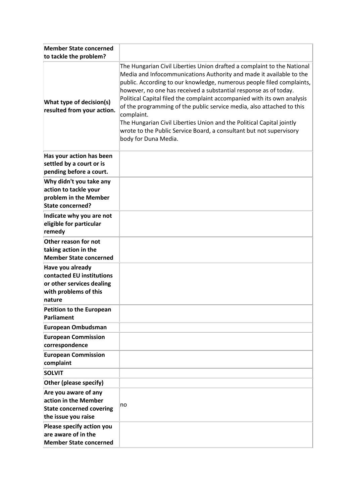| <b>Member State concerned</b>                                                                                 |                                                                                                                                                                                                                                                                                                                                                                                                                                                                                                                                                                                                                                       |
|---------------------------------------------------------------------------------------------------------------|---------------------------------------------------------------------------------------------------------------------------------------------------------------------------------------------------------------------------------------------------------------------------------------------------------------------------------------------------------------------------------------------------------------------------------------------------------------------------------------------------------------------------------------------------------------------------------------------------------------------------------------|
| to tackle the problem?                                                                                        |                                                                                                                                                                                                                                                                                                                                                                                                                                                                                                                                                                                                                                       |
| What type of decision(s)<br>resulted from your action.                                                        | The Hungarian Civil Liberties Union drafted a complaint to the National<br>Media and Infocommunications Authority and made it available to the<br>public. According to our knowledge, numerous people filed complaints,<br>however, no one has received a substantial response as of today.<br>Political Capital filed the complaint accompanied with its own analysis<br>of the programming of the public service media, also attached to this<br>complaint.<br>The Hungarian Civil Liberties Union and the Political Capital jointly<br>wrote to the Public Service Board, a consultant but not supervisory<br>body for Duna Media. |
| Has your action has been<br>settled by a court or is                                                          |                                                                                                                                                                                                                                                                                                                                                                                                                                                                                                                                                                                                                                       |
| pending before a court.                                                                                       |                                                                                                                                                                                                                                                                                                                                                                                                                                                                                                                                                                                                                                       |
| Why didn't you take any<br>action to tackle your<br>problem in the Member<br><b>State concerned?</b>          |                                                                                                                                                                                                                                                                                                                                                                                                                                                                                                                                                                                                                                       |
| Indicate why you are not<br>eligible for particular<br>remedy                                                 |                                                                                                                                                                                                                                                                                                                                                                                                                                                                                                                                                                                                                                       |
| Other reason for not<br>taking action in the<br><b>Member State concerned</b>                                 |                                                                                                                                                                                                                                                                                                                                                                                                                                                                                                                                                                                                                                       |
| Have you already<br>contacted EU institutions<br>or other services dealing<br>with problems of this<br>nature |                                                                                                                                                                                                                                                                                                                                                                                                                                                                                                                                                                                                                                       |
| <b>Petition to the European</b><br>Parliament                                                                 |                                                                                                                                                                                                                                                                                                                                                                                                                                                                                                                                                                                                                                       |
| <b>European Ombudsman</b>                                                                                     |                                                                                                                                                                                                                                                                                                                                                                                                                                                                                                                                                                                                                                       |
| <b>European Commission</b><br>correspondence                                                                  |                                                                                                                                                                                                                                                                                                                                                                                                                                                                                                                                                                                                                                       |
| <b>European Commission</b><br>complaint                                                                       |                                                                                                                                                                                                                                                                                                                                                                                                                                                                                                                                                                                                                                       |
| <b>SOLVIT</b>                                                                                                 |                                                                                                                                                                                                                                                                                                                                                                                                                                                                                                                                                                                                                                       |
| Other (please specify)                                                                                        |                                                                                                                                                                                                                                                                                                                                                                                                                                                                                                                                                                                                                                       |
| Are you aware of any<br>action in the Member<br><b>State concerned covering</b><br>the issue you raise        | no                                                                                                                                                                                                                                                                                                                                                                                                                                                                                                                                                                                                                                    |
| Please specify action you<br>are aware of in the<br><b>Member State concerned</b>                             |                                                                                                                                                                                                                                                                                                                                                                                                                                                                                                                                                                                                                                       |